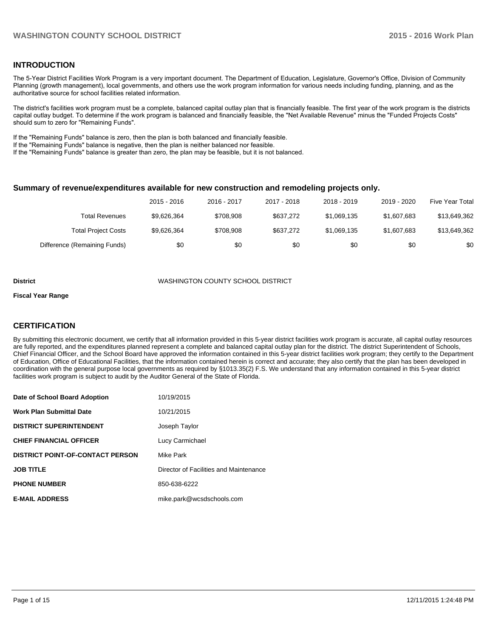## **INTRODUCTION**

The 5-Year District Facilities Work Program is a very important document. The Department of Education, Legislature, Governor's Office, Division of Community Planning (growth management), local governments, and others use the work program information for various needs including funding, planning, and as the authoritative source for school facilities related information.

The district's facilities work program must be a complete, balanced capital outlay plan that is financially feasible. The first year of the work program is the districts capital outlay budget. To determine if the work program is balanced and financially feasible, the "Net Available Revenue" minus the "Funded Projects Costs" should sum to zero for "Remaining Funds".

If the "Remaining Funds" balance is zero, then the plan is both balanced and financially feasible.

If the "Remaining Funds" balance is negative, then the plan is neither balanced nor feasible.

If the "Remaining Funds" balance is greater than zero, the plan may be feasible, but it is not balanced.

#### **Summary of revenue/expenditures available for new construction and remodeling projects only.**

|                              | 2015 - 2016 | 2016 - 2017 | 2017 - 2018 | 2018 - 2019 | 2019 - 2020 | Five Year Total |
|------------------------------|-------------|-------------|-------------|-------------|-------------|-----------------|
| Total Revenues               | \$9.626.364 | \$708.908   | \$637.272   | \$1.069.135 | \$1,607,683 | \$13,649,362    |
| <b>Total Project Costs</b>   | \$9.626.364 | \$708.908   | \$637.272   | \$1.069.135 | \$1,607,683 | \$13,649,362    |
| Difference (Remaining Funds) | \$0         | \$0         | \$0         | \$0         | \$0         | \$0             |

#### **District** WASHINGTON COUNTY SCHOOL DISTRICT

#### **Fiscal Year Range**

## **CERTIFICATION**

By submitting this electronic document, we certify that all information provided in this 5-year district facilities work program is accurate, all capital outlay resources are fully reported, and the expenditures planned represent a complete and balanced capital outlay plan for the district. The district Superintendent of Schools, Chief Financial Officer, and the School Board have approved the information contained in this 5-year district facilities work program; they certify to the Department of Education, Office of Educational Facilities, that the information contained herein is correct and accurate; they also certify that the plan has been developed in coordination with the general purpose local governments as required by §1013.35(2) F.S. We understand that any information contained in this 5-year district facilities work program is subject to audit by the Auditor General of the State of Florida.

| Date of School Board Adoption           | 10/19/2015                             |
|-----------------------------------------|----------------------------------------|
| <b>Work Plan Submittal Date</b>         | 10/21/2015                             |
| <b>DISTRICT SUPERINTENDENT</b>          | Joseph Taylor                          |
| <b>CHIEF FINANCIAL OFFICER</b>          | Lucy Carmichael                        |
| <b>DISTRICT POINT-OF-CONTACT PERSON</b> | Mike Park                              |
| <b>JOB TITLE</b>                        | Director of Facilities and Maintenance |
| <b>PHONE NUMBER</b>                     | 850-638-6222                           |
| <b>E-MAIL ADDRESS</b>                   | mike.park@wcsdschools.com              |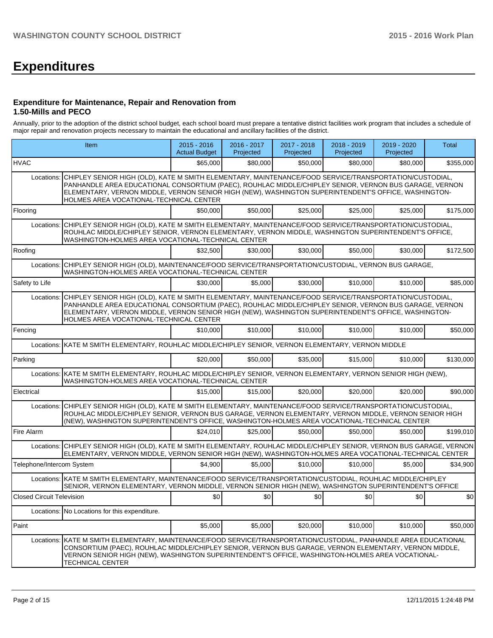# **Expenditures**

#### **Expenditure for Maintenance, Repair and Renovation from 1.50-Mills and PECO**

Annually, prior to the adoption of the district school budget, each school board must prepare a tentative district facilities work program that includes a schedule of major repair and renovation projects necessary to maintain the educational and ancillary facilities of the district.

|                                  | Item                                                                                                                                                                                                                                                                                                                                                                | $2015 - 2016$<br><b>Actual Budget</b>                                                                                                                                                                                     | 2016 - 2017<br>Projected | 2017 - 2018<br>Projected | 2018 - 2019<br>Projected | 2019 - 2020<br>Projected | <b>Total</b> |  |  |  |
|----------------------------------|---------------------------------------------------------------------------------------------------------------------------------------------------------------------------------------------------------------------------------------------------------------------------------------------------------------------------------------------------------------------|---------------------------------------------------------------------------------------------------------------------------------------------------------------------------------------------------------------------------|--------------------------|--------------------------|--------------------------|--------------------------|--------------|--|--|--|
| <b>HVAC</b>                      |                                                                                                                                                                                                                                                                                                                                                                     | \$65,000                                                                                                                                                                                                                  | \$80,000                 | \$50,000                 | \$80,000                 | \$80,000                 | \$355,000    |  |  |  |
| Locations:                       | CHIPLEY SENIOR HIGH (OLD), KATE M SMITH ELEMENTARY, MAINTENANCE/FOOD SERVICE/TRANSPORTATION/CUSTODIAL,<br>PANHANDLE AREA EDUCATIONAL CONSORTIUM (PAEC), ROUHLAC MIDDLE/CHIPLEY SENIOR, VERNON BUS GARAGE, VERNON<br>ELEMENTARY, VERNON MIDDLE, VERNON SENIOR HIGH (NEW), WASHINGTON SUPERINTENDENT'S OFFICE, WASHINGTON-<br>HOLMES AREA VOCATIONAL-TECHNICAL CENTER |                                                                                                                                                                                                                           |                          |                          |                          |                          |              |  |  |  |
| Flooring                         |                                                                                                                                                                                                                                                                                                                                                                     | \$50,000                                                                                                                                                                                                                  | \$50,000                 | \$25,000                 | \$25,000                 | \$25,000                 | \$175,000    |  |  |  |
|                                  | WASHINGTON-HOLMES AREA VOCATIONAL-TECHNICAL CENTER                                                                                                                                                                                                                                                                                                                  | Locations: CHIPLEY SENIOR HIGH (OLD), KATE M SMITH ELEMENTARY, MAINTENANCE/FOOD SERVICE/TRANSPORTATION/CUSTODIAL,<br>ROUHLAC MIDDLE/CHIPLEY SENIOR, VERNON ELEMENTARY, VERNON MIDDLE, WASHINGTON SUPERINTENDENT'S OFFICE, |                          |                          |                          |                          |              |  |  |  |
| Roofing                          |                                                                                                                                                                                                                                                                                                                                                                     | \$32,500                                                                                                                                                                                                                  | \$30,000                 | \$30,000                 | \$50,000                 | \$30,000                 | \$172,500    |  |  |  |
|                                  | Locations: CHIPLEY SENIOR HIGH (OLD), MAINTENANCE/FOOD SERVICE/TRANSPORTATION/CUSTODIAL, VERNON BUS GARAGE,<br>WASHINGTON-HOLMES AREA VOCATIONAL-TECHNICAL CENTER                                                                                                                                                                                                   |                                                                                                                                                                                                                           |                          |                          |                          |                          |              |  |  |  |
| Safety to Life                   |                                                                                                                                                                                                                                                                                                                                                                     | \$30,000                                                                                                                                                                                                                  | \$5.000                  | \$30,000                 | \$10,000                 | \$10,000                 | \$85,000     |  |  |  |
| Locations:                       | CHIPLEY SENIOR HIGH (OLD), KATE M SMITH ELEMENTARY, MAINTENANCE/FOOD SERVICE/TRANSPORTATION/CUSTODIAL,<br>PANHANDLE AREA EDUCATIONAL CONSORTIUM (PAEC), ROUHLAC MIDDLE/CHIPLEY SENIOR, VERNON BUS GARAGE, VERNON<br>ELEMENTARY, VERNON MIDDLE, VERNON SENIOR HIGH (NEW), WASHINGTON SUPERINTENDENT'S OFFICE, WASHINGTON-<br>HOLMES AREA VOCATIONAL-TECHNICAL CENTER |                                                                                                                                                                                                                           |                          |                          |                          |                          |              |  |  |  |
| Fencing                          |                                                                                                                                                                                                                                                                                                                                                                     | \$10,000                                                                                                                                                                                                                  | \$10,000                 | \$10,000                 | \$10,000                 | \$10,000                 | \$50,000     |  |  |  |
| Locations:                       | KATE M SMITH ELEMENTARY, ROUHLAC MIDDLE/CHIPLEY SENIOR, VERNON ELEMENTARY, VERNON MIDDLE                                                                                                                                                                                                                                                                            |                                                                                                                                                                                                                           |                          |                          |                          |                          |              |  |  |  |
| Parking                          |                                                                                                                                                                                                                                                                                                                                                                     | \$20,000                                                                                                                                                                                                                  | \$50,000                 | \$35,000                 | \$15,000                 | \$10,000                 | \$130,000    |  |  |  |
| Locations:                       | KATE M SMITH ELEMENTARY, ROUHLAC MIDDLE/CHIPLEY SENIOR, VERNON ELEMENTARY, VERNON SENIOR HIGH (NEW),<br>WASHINGTON-HOLMES AREA VOCATIONAL-TECHNICAL CENTER                                                                                                                                                                                                          |                                                                                                                                                                                                                           |                          |                          |                          |                          |              |  |  |  |
| Electrical                       |                                                                                                                                                                                                                                                                                                                                                                     | \$15,000                                                                                                                                                                                                                  | \$15,000                 | \$20,000                 | \$20,000                 | \$20,000                 | \$90,000     |  |  |  |
|                                  | Locations: CHIPLEY SENIOR HIGH (OLD), KATE M SMITH ELEMENTARY, MAINTENANCE/FOOD SERVICE/TRANSPORTATION/CUSTODIAL,<br>ROUHLAC MIDDLE/CHIPLEY SENIOR, VERNON BUS GARAGE, VERNON ELEMENTARY, VERNON MIDDLE, VERNON SENIOR HIGH<br>(NEW), WASHINGTON SUPERINTENDENT'S OFFICE, WASHINGTON-HOLMES AREA VOCATIONAL-TECHNICAL CENTER                                        |                                                                                                                                                                                                                           |                          |                          |                          |                          |              |  |  |  |
| Fire Alarm                       |                                                                                                                                                                                                                                                                                                                                                                     | \$24,010                                                                                                                                                                                                                  | \$25,000                 | \$50,000                 | \$50,000                 | \$50,000                 | \$199,010    |  |  |  |
|                                  | Locations: CHIPLEY SENIOR HIGH (OLD), KATE M SMITH ELEMENTARY, ROUHLAC MIDDLE/CHIPLEY SENIOR, VERNON BUS GARAGE, VERNON<br>ELEMENTARY, VERNON MIDDLE, VERNON SENIOR HIGH (NEW), WASHINGTON-HOLMES AREA VOCATIONAL-TECHNICAL CENTER                                                                                                                                  |                                                                                                                                                                                                                           |                          |                          |                          |                          |              |  |  |  |
| Telephone/Intercom System        |                                                                                                                                                                                                                                                                                                                                                                     | \$4.900                                                                                                                                                                                                                   | \$5.000                  | \$10,000                 | \$10,000                 | \$5,000                  | \$34,900     |  |  |  |
|                                  | Locations: KATE M SMITH ELEMENTARY, MAINTENANCE/FOOD SERVICE/TRANSPORTATION/CUSTODIAL, ROUHLAC MIDDLE/CHIPLEY<br>SENIOR, VERNON ELEMENTARY, VERNON MIDDLE, VERNON SENIOR HIGH (NEW), WASHINGTON SUPERINTENDENT'S OFFICE                                                                                                                                             |                                                                                                                                                                                                                           |                          |                          |                          |                          |              |  |  |  |
| <b>Closed Circuit Television</b> |                                                                                                                                                                                                                                                                                                                                                                     | \$0                                                                                                                                                                                                                       | 30                       | \$0                      | \$0                      | \$0                      | \$0          |  |  |  |
|                                  | Locations: No Locations for this expenditure.                                                                                                                                                                                                                                                                                                                       |                                                                                                                                                                                                                           |                          |                          |                          |                          |              |  |  |  |
| Paint                            |                                                                                                                                                                                                                                                                                                                                                                     | \$5,000                                                                                                                                                                                                                   | \$5,000                  | \$20,000                 | \$10,000                 | \$10,000                 | \$50,000     |  |  |  |
|                                  | Locations: KATE M SMITH ELEMENTARY, MAINTENANCE/FOOD SERVICE/TRANSPORTATION/CUSTODIAL, PANHANDLE AREA EDUCATIONAL<br>CONSORTIUM (PAEC), ROUHLAC MIDDLE/CHIPLEY SENIOR, VERNON BUS GARAGE, VERNON ELEMENTARY, VERNON MIDDLE,<br>VERNON SENIOR HIGH (NEW), WASHINGTON SUPERINTENDENT'S OFFICE, WASHINGTON-HOLMES AREA VOCATIONAL-<br><b>TECHNICAL CENTER</b>          |                                                                                                                                                                                                                           |                          |                          |                          |                          |              |  |  |  |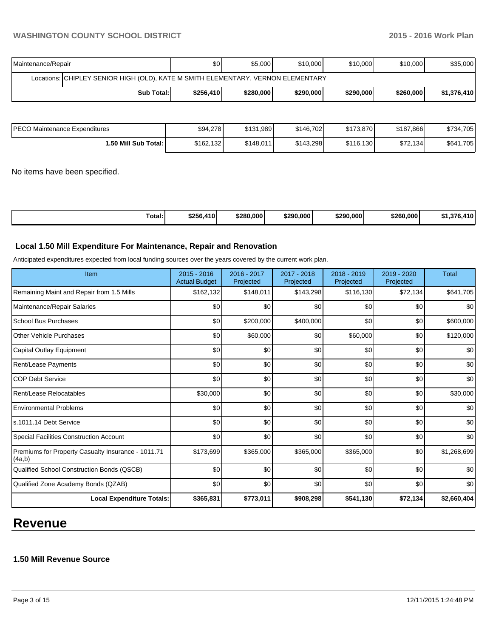| Maintenance/Repair                                                               | \$0 <sub>1</sub> | \$5,000   | \$10,000  | \$10,000  | \$10,000  | \$35,000    |  |  |
|----------------------------------------------------------------------------------|------------------|-----------|-----------|-----------|-----------|-------------|--|--|
| Locations: CHIPLEY SENIOR HIGH (OLD), KATE M SMITH ELEMENTARY, VERNON ELEMENTARY |                  |           |           |           |           |             |  |  |
| Sub Total:                                                                       | \$256,410        | \$280,000 | \$290,000 | \$290,000 | \$260,000 | \$1,376,410 |  |  |

| IPECO Maintenance Expenditures | \$94.278  | \$131.989 | \$146.702 | \$173,870 | \$187.866 | \$734,705 |
|--------------------------------|-----------|-----------|-----------|-----------|-----------|-----------|
| 1.50 Mill Sub Total: I         | \$162,132 | \$148,011 | \$143,298 | \$116,130 | \$72,134  | \$641,705 |

No items have been specified.

| $\overline{\phantom{a}}$<br>Total: | \$256,410 | \$280,000 | \$290.000 | \$290.000 | \$260.000 | <b>276</b><br>44 N<br>- 301.36<br> |
|------------------------------------|-----------|-----------|-----------|-----------|-----------|------------------------------------|
|------------------------------------|-----------|-----------|-----------|-----------|-----------|------------------------------------|

## **Local 1.50 Mill Expenditure For Maintenance, Repair and Renovation**

Anticipated expenditures expected from local funding sources over the years covered by the current work plan.

| Item                                                         | 2015 - 2016<br><b>Actual Budget</b> | 2016 - 2017<br>Projected | 2017 - 2018<br>Projected | 2018 - 2019<br>Projected | 2019 - 2020<br>Projected | <b>Total</b> |
|--------------------------------------------------------------|-------------------------------------|--------------------------|--------------------------|--------------------------|--------------------------|--------------|
| Remaining Maint and Repair from 1.5 Mills                    | \$162,132                           | \$148,011                | \$143,298                | \$116,130                | \$72,134                 | \$641,705    |
| Maintenance/Repair Salaries                                  | \$0                                 | \$0                      | \$0                      | \$0                      | \$0                      | \$0          |
| School Bus Purchases                                         | \$0                                 | \$200,000                | \$400,000                | \$0                      | \$0                      | \$600,000    |
| <b>Other Vehicle Purchases</b>                               | \$0                                 | \$60,000                 | \$0                      | \$60,000                 | \$0                      | \$120,000    |
| Capital Outlay Equipment                                     | \$0                                 | \$0                      | \$0                      | \$0                      | \$0                      | \$0          |
| Rent/Lease Payments                                          | \$0                                 | \$0                      | \$0                      | \$0                      | \$0                      | \$0          |
| <b>COP Debt Service</b>                                      | \$0                                 | \$0                      | \$0                      | \$0                      | \$0                      | \$0          |
| Rent/Lease Relocatables                                      | \$30,000                            | \$0                      | \$0                      | \$0                      | \$0                      | \$30,000     |
| <b>Environmental Problems</b>                                | \$0                                 | \$0                      | \$0                      | \$0                      | \$0                      | \$0          |
| ls.1011.14 Debt Service                                      | \$0                                 | \$0                      | \$0                      | \$0                      | \$0                      | \$0          |
| Special Facilities Construction Account                      | \$0                                 | \$0                      | \$0                      | \$0                      | \$0                      | \$0          |
| Premiums for Property Casualty Insurance - 1011.71<br>(4a,b) | \$173,699                           | \$365,000                | \$365,000                | \$365,000                | \$0                      | \$1,268,699  |
| Qualified School Construction Bonds (QSCB)                   | \$0                                 | \$0                      | \$0                      | \$0                      | \$0                      | \$0          |
| Qualified Zone Academy Bonds (QZAB)                          | \$0                                 | \$0                      | \$0                      | \$0                      | \$0                      | \$0          |
| <b>Local Expenditure Totals:</b>                             | \$365,831                           | \$773,011                | \$908,298                | \$541,130                | \$72,134                 | \$2,660,404  |

## **Revenue**

## **1.50 Mill Revenue Source**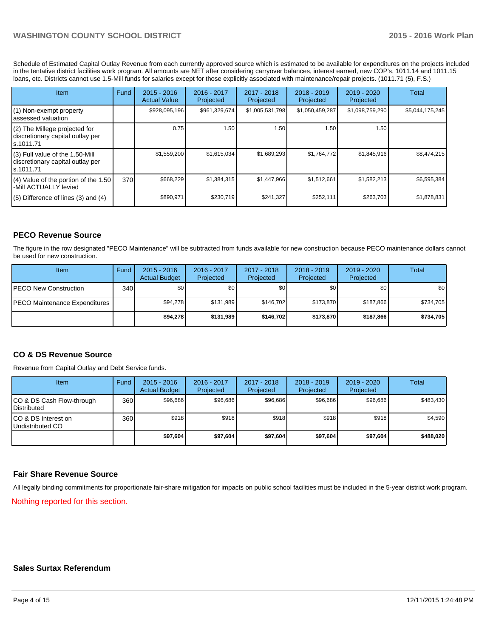Schedule of Estimated Capital Outlay Revenue from each currently approved source which is estimated to be available for expenditures on the projects included in the tentative district facilities work program. All amounts are NET after considering carryover balances, interest earned, new COP's, 1011.14 and 1011.15 loans, etc. Districts cannot use 1.5-Mill funds for salaries except for those explicitly associated with maintenance/repair projects. (1011.71 (5), F.S.)

| Item                                                                                | Fund | $2015 - 2016$<br><b>Actual Value</b> | $2016 - 2017$<br>Projected | 2017 - 2018<br>Projected | $2018 - 2019$<br>Projected | 2019 - 2020<br>Projected | Total           |
|-------------------------------------------------------------------------------------|------|--------------------------------------|----------------------------|--------------------------|----------------------------|--------------------------|-----------------|
| (1) Non-exempt property<br>lassessed valuation                                      |      | \$928,095,196                        | \$961,329,674              | \$1,005,531,798          | \$1,050,459,287            | \$1,098,759,290          | \$5,044,175,245 |
| (2) The Millege projected for<br>discretionary capital outlay per<br>ls.1011.71     |      | 0.75                                 | 1.50                       | 1.50                     | 1.50                       | 1.50                     |                 |
| $(3)$ Full value of the 1.50-Mill<br>discretionary capital outlay per<br>ls.1011.71 |      | \$1,559,200                          | \$1,615,034                | \$1,689,293              | \$1,764,772                | \$1,845,916              | \$8,474,215     |
| $(4)$ Value of the portion of the 1.50<br>-Mill ACTUALLY levied                     | 370  | \$668,229                            | \$1,384,315                | \$1,447,966              | \$1,512,661                | \$1,582,213              | \$6,595,384     |
| $(5)$ Difference of lines $(3)$ and $(4)$                                           |      | \$890,971                            | \$230,719                  | \$241,327                | \$252,111                  | \$263,703                | \$1,878,831     |

## **PECO Revenue Source**

The figure in the row designated "PECO Maintenance" will be subtracted from funds available for new construction because PECO maintenance dollars cannot be used for new construction.

| Item                                  | Fund | $2015 - 2016$<br><b>Actual Budget</b> | 2016 - 2017<br>Projected | $2017 - 2018$<br>Projected | $2018 - 2019$<br>Projected | $2019 - 2020$<br>Projected | Total     |
|---------------------------------------|------|---------------------------------------|--------------------------|----------------------------|----------------------------|----------------------------|-----------|
| <b>IPECO New Construction</b>         | 340  | \$0                                   | \$0 <sub>1</sub>         | \$0                        | \$OI                       | \$0                        | \$0       |
| <b>IPECO Maintenance Expenditures</b> |      | \$94.278                              | \$131.989                | \$146.702                  | \$173.870                  | \$187.866                  | \$734,705 |
|                                       |      | \$94.278                              | \$131.989                | \$146.702                  | \$173,870                  | \$187.866                  | \$734,705 |

## **CO & DS Revenue Source**

Revenue from Capital Outlay and Debt Service funds.

| Item                                               | Fund | $2015 - 2016$<br><b>Actual Budget</b> | 2016 - 2017<br>Projected | 2017 - 2018<br>Projected | $2018 - 2019$<br>Projected | 2019 - 2020<br>Projected | Total     |
|----------------------------------------------------|------|---------------------------------------|--------------------------|--------------------------|----------------------------|--------------------------|-----------|
| ICO & DS Cash Flow-through<br><b>I</b> Distributed | 360  | \$96,686                              | \$96,686                 | \$96,686                 | \$96,686                   | \$96,686                 | \$483,430 |
| ICO & DS Interest on<br>Undistributed CO           | 360  | \$918                                 | \$918                    | \$918                    | \$918                      | \$918                    | \$4,590   |
|                                                    |      | \$97,604                              | \$97,604                 | \$97.604                 | \$97,604                   | \$97,604                 | \$488,020 |

## **Fair Share Revenue Source**

All legally binding commitments for proportionate fair-share mitigation for impacts on public school facilities must be included in the 5-year district work program.

Nothing reported for this section.

#### **Sales Surtax Referendum**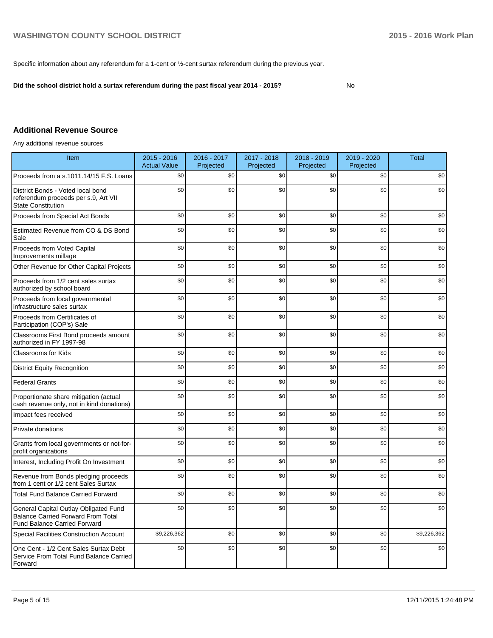Specific information about any referendum for a 1-cent or ½-cent surtax referendum during the previous year.

**Did the school district hold a surtax referendum during the past fiscal year 2014 - 2015?**

No

## **Additional Revenue Source**

Any additional revenue sources

| Item                                                                                                                      | 2015 - 2016<br><b>Actual Value</b> | 2016 - 2017<br>Projected | 2017 - 2018<br>Projected | 2018 - 2019<br>Projected | 2019 - 2020<br>Projected | <b>Total</b> |
|---------------------------------------------------------------------------------------------------------------------------|------------------------------------|--------------------------|--------------------------|--------------------------|--------------------------|--------------|
| Proceeds from a s.1011.14/15 F.S. Loans                                                                                   | \$0                                | \$0                      | \$0                      | \$0                      | \$0                      | \$0          |
| District Bonds - Voted local bond<br>referendum proceeds per s.9, Art VII<br><b>State Constitution</b>                    | \$0                                | \$0                      | \$0                      | \$0                      | \$0                      | \$0          |
| Proceeds from Special Act Bonds                                                                                           | \$0                                | \$0                      | \$0                      | \$0                      | \$0                      | \$0          |
| Estimated Revenue from CO & DS Bond<br>Sale                                                                               | \$0                                | \$0                      | \$0                      | \$0                      | \$0                      | \$0          |
| Proceeds from Voted Capital<br>Improvements millage                                                                       | \$0                                | \$0                      | \$0                      | \$0                      | \$0                      | \$0          |
| Other Revenue for Other Capital Projects                                                                                  | \$0                                | \$0                      | \$0                      | \$0                      | \$0                      | \$0          |
| Proceeds from 1/2 cent sales surtax<br>authorized by school board                                                         | \$0                                | \$0                      | \$0                      | \$0                      | \$0                      | \$0          |
| Proceeds from local governmental<br>infrastructure sales surtax                                                           | \$0                                | \$0                      | \$0                      | \$0                      | \$0                      | \$0          |
| Proceeds from Certificates of<br>Participation (COP's) Sale                                                               | \$0                                | \$0                      | \$0                      | \$0                      | \$0                      | \$0          |
| Classrooms First Bond proceeds amount<br>authorized in FY 1997-98                                                         | \$0                                | \$0                      | \$0                      | \$0                      | \$0                      | \$0          |
| Classrooms for Kids                                                                                                       | \$0                                | \$0                      | \$0                      | \$0                      | \$0                      | \$0          |
| <b>District Equity Recognition</b>                                                                                        | \$0                                | \$0                      | \$0                      | \$0                      | \$0                      | \$0          |
| <b>Federal Grants</b>                                                                                                     | \$0                                | \$0                      | \$0                      | \$0                      | \$0                      | \$0          |
| Proportionate share mitigation (actual<br>cash revenue only, not in kind donations)                                       | \$0                                | \$0                      | \$0                      | \$0                      | \$0                      | \$0          |
| Impact fees received                                                                                                      | \$0                                | \$0                      | \$0                      | \$0                      | \$0                      | \$0          |
| Private donations                                                                                                         | \$0                                | \$0                      | \$0                      | \$0                      | \$0                      | \$0          |
| Grants from local governments or not-for-<br>profit organizations                                                         | \$0                                | \$0                      | \$0                      | \$0                      | \$0                      | \$0          |
| Interest, Including Profit On Investment                                                                                  | \$0                                | \$0                      | \$0                      | \$0                      | \$0                      | \$0          |
| Revenue from Bonds pledging proceeds<br>from 1 cent or 1/2 cent Sales Surtax                                              | \$0                                | \$0                      | \$0                      | \$0                      | \$0                      | \$0          |
| <b>Total Fund Balance Carried Forward</b>                                                                                 | \$0                                | \$0                      | \$0                      | \$0                      | \$0                      | \$0          |
| General Capital Outlay Obligated Fund<br><b>Balance Carried Forward From Total</b><br><b>Fund Balance Carried Forward</b> | \$0                                | \$0                      | \$0                      | \$0                      | \$0                      | \$0          |
| <b>Special Facilities Construction Account</b>                                                                            | \$9,226,362                        | \$0                      | \$0                      | \$0                      | \$0                      | \$9,226,362  |
| One Cent - 1/2 Cent Sales Surtax Debt<br>Service From Total Fund Balance Carried<br>Forward                               | \$0                                | \$0                      | \$0                      | \$0                      | \$0                      | \$0          |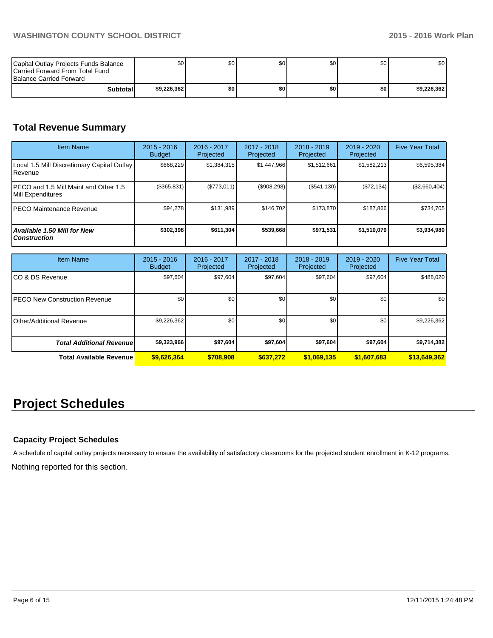| Capital Outlay Projects Funds Balance<br><b>ICarried Forward From Total Fund</b><br><b>Balance Carried Forward</b> | \$0         | \$0 | \$0 <sub>1</sub> | \$0   | \$0 | \$0 <sub>1</sub> |
|--------------------------------------------------------------------------------------------------------------------|-------------|-----|------------------|-------|-----|------------------|
| <b>Subtotal</b>                                                                                                    | \$9,226,362 | \$0 | \$0              | \$0 I | \$O | \$9,226,362      |

## **Total Revenue Summary**

| <b>Item Name</b>                                           | $2015 - 2016$<br><b>Budget</b> | 2016 - 2017<br>Projected | $2017 - 2018$<br>Projected | $2018 - 2019$<br>Projected | $2019 - 2020$<br>Projected | <b>Five Year Total</b> |
|------------------------------------------------------------|--------------------------------|--------------------------|----------------------------|----------------------------|----------------------------|------------------------|
| Local 1.5 Mill Discretionary Capital Outlay<br>l Revenue   | \$668,229                      | \$1,384,315              | \$1,447,966                | \$1,512,661                | \$1,582,213                | \$6,595,384            |
| PECO and 1.5 Mill Maint and Other 1.5<br>Mill Expenditures | (\$365,831)                    | (S773, 011)              | (\$908,298)                | (S541, 130)                | (\$72,134)                 | (\$2,660,404)          |
| IPECO Maintenance Revenue                                  | \$94,278                       | \$131.989                | \$146.702                  | \$173.870                  | \$187.866                  | \$734,705              |
| Available 1.50 Mill for New<br><b>Construction</b>         | \$302,398                      | \$611,304                | \$539,668                  | \$971,531                  | \$1,510,079                | \$3,934,980            |

| <b>Item Name</b>                      | $2015 - 2016$<br><b>Budget</b> | 2016 - 2017<br>Projected | $2017 - 2018$<br>Projected | $2018 - 2019$<br>Projected | $2019 - 2020$<br>Projected | <b>Five Year Total</b> |
|---------------------------------------|--------------------------------|--------------------------|----------------------------|----------------------------|----------------------------|------------------------|
| ICO & DS Revenue                      | \$97,604                       | \$97,604                 | \$97,604                   | \$97,604                   | \$97,604                   | \$488,020              |
| <b>IPECO New Construction Revenue</b> | \$0                            | \$0                      | \$0                        | \$0 <sub>0</sub>           | \$0                        | \$0                    |
| Other/Additional Revenue              | \$9,226,362                    | \$0                      | \$0                        | \$0                        | \$0                        | \$9,226,362            |
| <b>Total Additional Revenuel</b>      | \$9,323,966                    | \$97,604                 | \$97,604                   | \$97,604                   | \$97,604                   | \$9,714,382            |
| Total Available Revenue               | \$9,626,364                    | \$708,908                | \$637.272                  | \$1,069,135                | \$1,607,683                | \$13,649,362           |

# **Project Schedules**

## **Capacity Project Schedules**

A schedule of capital outlay projects necessary to ensure the availability of satisfactory classrooms for the projected student enrollment in K-12 programs.

Nothing reported for this section.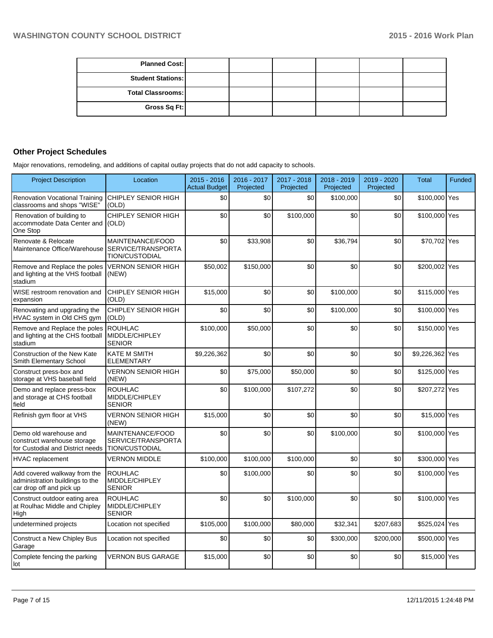| <b>Planned Cost:</b>     |  |  |  |
|--------------------------|--|--|--|
| <b>Student Stations:</b> |  |  |  |
| <b>Total Classrooms:</b> |  |  |  |
| Gross Sq Ft:             |  |  |  |

## **Other Project Schedules**

Major renovations, remodeling, and additions of capital outlay projects that do not add capacity to schools.

| <b>Project Description</b>                                                                  | Location                                                        | $2015 - 2016$<br><b>Actual Budget</b> | 2016 - 2017<br>Projected | 2017 - 2018<br>Projected | 2018 - 2019<br>Projected | 2019 - 2020<br>Projected | <b>Total</b>    | <b>Funded</b> |
|---------------------------------------------------------------------------------------------|-----------------------------------------------------------------|---------------------------------------|--------------------------|--------------------------|--------------------------|--------------------------|-----------------|---------------|
| <b>Renovation Vocational Training</b><br>classrooms and shops "WISE"                        | CHIPLEY SENIOR HIGH<br>(OLD)                                    | \$0                                   | \$0                      | \$0                      | \$100,000                | \$0                      | \$100,000 Yes   |               |
| Renovation of building to<br>accommodate Data Center and<br>One Stop                        | CHIPLEY SENIOR HIGH<br>(OLD)                                    | \$0                                   | \$0                      | \$100,000                | \$0                      | \$0                      | \$100,000 Yes   |               |
| Renovate & Relocate<br>Maintenance Office/Warehouse                                         | MAINTENANCE/FOOD<br><b>SERVICE/TRANSPORTA</b><br>TION/CUSTODIAL | \$0                                   | \$33,908                 | \$0                      | \$36,794                 | \$0                      | \$70,702 Yes    |               |
| Remove and Replace the poles<br>and lighting at the VHS football<br>stadium                 | <b>VERNON SENIOR HIGH</b><br>(NEW)                              | \$50,002                              | \$150,000                | \$0                      | \$0                      | \$0                      | \$200,002 Yes   |               |
| WISE restroom renovation and<br>expansion                                                   | CHIPLEY SENIOR HIGH<br>(OLD)                                    | \$15,000                              | \$0                      | \$0                      | \$100,000                | \$0                      | \$115,000 Yes   |               |
| Renovating and upgrading the<br>HVAC system in Old CHS gym                                  | CHIPLEY SENIOR HIGH<br>(OLD)                                    | \$0                                   | \$0                      | \$0                      | \$100,000                | \$0                      | \$100,000 Yes   |               |
| Remove and Replace the poles<br>and lighting at the CHS football<br>stadium                 | <b>ROUHLAC</b><br>MIDDLE/CHIPLEY<br><b>SENIOR</b>               | \$100,000                             | \$50,000                 | \$0                      | \$0                      | \$0                      | \$150,000 Yes   |               |
| <b>Construction of the New Kate</b><br>Smith Elementary School                              | <b>KATE M SMITH</b><br><b>ELEMENTARY</b>                        | \$9,226,362                           | \$0                      | \$0                      | \$0                      | \$0                      | \$9,226,362 Yes |               |
| Construct press-box and<br>storage at VHS baseball field                                    | <b>VERNON SENIOR HIGH</b><br>(NEW)                              | \$0                                   | \$75,000                 | \$50,000                 | \$0                      | \$0                      | \$125,000 Yes   |               |
| Demo and replace press-box<br>and storage at CHS football<br>field                          | <b>ROUHLAC</b><br>MIDDLE/CHIPLEY<br><b>SENIOR</b>               | \$0                                   | \$100,000                | \$107,272                | \$0                      | \$0                      | \$207,272 Yes   |               |
| Refinish gym floor at VHS                                                                   | <b>VERNON SENIOR HIGH</b><br>(NEW)                              | \$15,000                              | \$0                      | \$0                      | \$0                      | \$0                      | \$15,000 Yes    |               |
| Demo old warehouse and<br>construct warehouse storage<br>for Custodial and District needs   | MAINTENANCE/FOOD<br>SERVICE/TRANSPORTA<br>TION/CUSTODIAL        | \$0                                   | \$0                      | \$0                      | \$100,000                | \$0                      | \$100,000 Yes   |               |
| <b>HVAC</b> replacement                                                                     | <b>VERNON MIDDLE</b>                                            | \$100,000                             | \$100,000                | \$100,000                | \$0                      | \$0                      | \$300,000 Yes   |               |
| Add covered walkway from the<br>administration buildings to the<br>car drop off and pick up | <b>ROUHLAC</b><br>MIDDLE/CHIPLEY<br><b>SENIOR</b>               | \$0                                   | \$100,000                | \$0                      | \$0                      | \$0                      | \$100,000 Yes   |               |
| Construct outdoor eating area<br>at Roulhac Middle and Chipley<br>High                      | <b>ROUHLAC</b><br>MIDDLE/CHIPLEY<br><b>SENIOR</b>               | \$0                                   | \$0                      | \$100,000                | \$0                      | \$0                      | \$100,000 Yes   |               |
| undetermined projects                                                                       | Location not specified                                          | \$105,000                             | \$100,000                | \$80,000                 | \$32,341                 | \$207,683                | \$525,024 Yes   |               |
| Construct a New Chipley Bus<br>Garage                                                       | Location not specified                                          | \$0                                   | \$0                      | \$0                      | \$300,000                | \$200,000                | \$500,000 Yes   |               |
| Complete fencing the parking<br>lot                                                         | <b>VERNON BUS GARAGE</b>                                        | \$15,000                              | \$0                      | \$0                      | \$0                      | \$0                      | \$15,000 Yes    |               |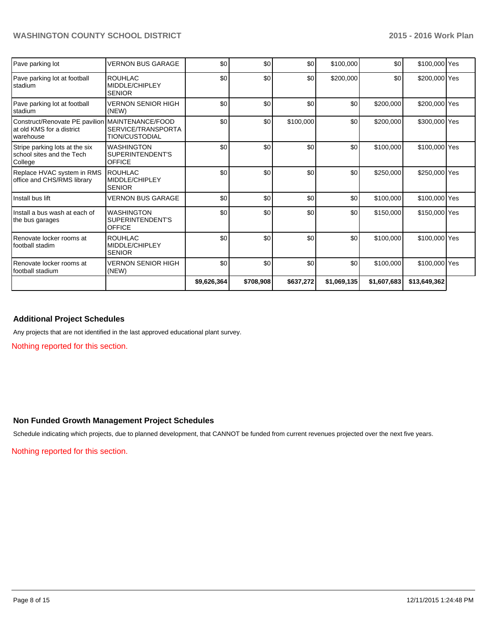| Pave parking lot                                                                            | <b>VERNON BUS GARAGE</b>                               | \$0         | \$0       | \$0       | \$100,000   | \$0         | \$100,000 Yes |  |
|---------------------------------------------------------------------------------------------|--------------------------------------------------------|-------------|-----------|-----------|-------------|-------------|---------------|--|
| Pave parking lot at football<br>stadium                                                     | <b>ROUHLAC</b><br>MIDDLE/CHIPLEY<br><b>SENIOR</b>      | \$0         | \$0       | \$0       | \$200,000   | \$0         | \$200,000 Yes |  |
| Pave parking lot at football<br>Istadium                                                    | <b>VERNON SENIOR HIGH</b><br>(NEW)                     | \$0         | \$0       | \$0       | \$0         | \$200,000   | \$200,000 Yes |  |
| Construct/Renovate PE pavilion MAINTENANCE/FOOD<br>lat old KMS for a district<br>Iwarehouse | SERVICE/TRANSPORTA<br><b>TION/CUSTODIAL</b>            | \$0         | \$0       | \$100,000 | \$0         | \$200,000   | \$300,000 Yes |  |
| Stripe parking lots at the six<br>school sites and the Tech<br>College                      | <b>WASHINGTON</b><br>SUPERINTENDENT'S<br><b>OFFICE</b> | \$0         | \$0       | \$0       | \$0         | \$100,000   | \$100,000 Yes |  |
| Replace HVAC system in RMS<br>office and CHS/RMS library                                    | <b>ROUHLAC</b><br>MIDDLE/CHIPLEY<br><b>SENIOR</b>      | \$0         | \$0       | \$0       | \$0         | \$250,000   | \$250,000 Yes |  |
| Install bus lift                                                                            | VERNON BUS GARAGE                                      | \$0         | \$0       | \$0       | \$0         | \$100,000   | \$100,000 Yes |  |
| Install a bus wash at each of<br>the bus garages                                            | <b>WASHINGTON</b><br>SUPERINTENDENT'S<br>OFFICE        | \$0         | \$0       | \$0       | \$0         | \$150,000   | \$150,000 Yes |  |
| Renovate locker rooms at<br>Ifootball stadim                                                | <b>ROUHLAC</b><br>MIDDLE/CHIPLEY<br><b>SENIOR</b>      | \$0         | \$0       | \$0       | \$0         | \$100,000   | \$100,000 Yes |  |
| I Renovate locker rooms at<br>Ifootball stadium                                             | <b>VERNON SENIOR HIGH</b><br>(NEW)                     | \$0         | \$0       | \$0       | \$0         | \$100,000   | \$100,000 Yes |  |
|                                                                                             |                                                        | \$9,626,364 | \$708,908 | \$637,272 | \$1,069,135 | \$1,607,683 | \$13,649,362  |  |

#### **Additional Project Schedules**

Any projects that are not identified in the last approved educational plant survey.

Nothing reported for this section.

## **Non Funded Growth Management Project Schedules**

Schedule indicating which projects, due to planned development, that CANNOT be funded from current revenues projected over the next five years.

Nothing reported for this section.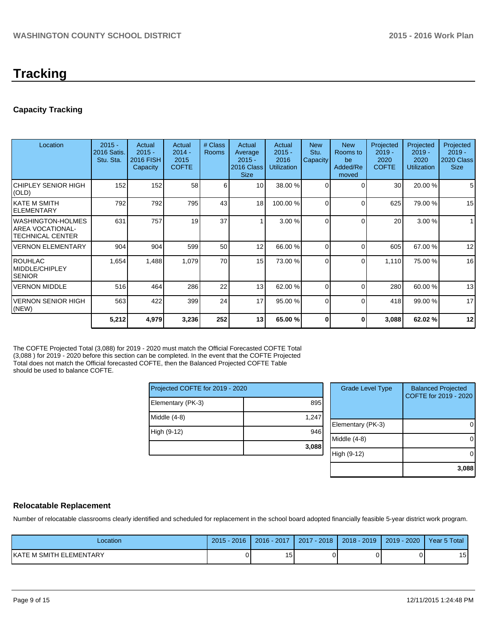# **Tracking**

## **Capacity Tracking**

| Location                                                           | $2015 -$<br>2016 Satis.<br>Stu. Sta. | Actual<br>$2015 -$<br><b>2016 FISH</b><br>Capacity | Actual<br>$2014 -$<br>2015<br><b>COFTE</b> | # Class<br><b>Rooms</b> | Actual<br>Average<br>$2015 -$<br>2016 Class<br><b>Size</b> | Actual<br>$2015 -$<br>2016<br><b>Utilization</b> | <b>New</b><br>Stu.<br>Capacity | <b>New</b><br>Rooms to<br>be<br>Added/Re<br>moved | Projected<br>$2019 -$<br>2020<br><b>COFTE</b> | Projected<br>$2019 -$<br>2020<br><b>Utilization</b> | Projected<br>$2019 -$<br>2020 Class<br><b>Size</b> |
|--------------------------------------------------------------------|--------------------------------------|----------------------------------------------------|--------------------------------------------|-------------------------|------------------------------------------------------------|--------------------------------------------------|--------------------------------|---------------------------------------------------|-----------------------------------------------|-----------------------------------------------------|----------------------------------------------------|
| ICHIPLEY SENIOR HIGH<br>(OLD)                                      | 152                                  | 152                                                | 58                                         | 6 <sup>1</sup>          | 10 <sup>1</sup>                                            | 38.00 %                                          | $\Omega$                       | $\Omega$                                          | 30 <sup>°</sup>                               | 20.00 %                                             | 5                                                  |
| IKATE M SMITH<br><b>IELEMENTARY</b>                                | 792                                  | 792                                                | 795                                        | 43                      | 18                                                         | 100.00 %                                         | $\Omega$                       | $\Omega$                                          | 625                                           | 79.00 %                                             | 15                                                 |
| IWASHINGTON-HOLMES<br>IAREA VOCATIONAL-<br><b>TECHNICAL CENTER</b> | 631                                  | 757                                                | 19                                         | 37                      |                                                            | 3.00%                                            | U                              | $\Omega$                                          | 20                                            | 3.00%                                               | $\mathbf{1}$                                       |
| <b>VERNON ELEMENTARY</b>                                           | 904                                  | 904                                                | 599                                        | 50                      | 12                                                         | 66.00 %                                          | $\Omega$                       | $\Omega$                                          | 605                                           | 67.00 %                                             | 12                                                 |
| IROUHLAC<br><b>IMIDDLE/CHIPLEY</b><br><b>SENIOR</b>                | 1,654                                | 1,488                                              | 1,079                                      | 70                      | 15                                                         | 73.00 %                                          | $\Omega$                       | $\Omega$                                          | 1,110                                         | 75.00 %                                             | 16                                                 |
| <b>VERNON MIDDLE</b>                                               | 516                                  | 464                                                | 286                                        | 22                      | 13                                                         | 62.00 %                                          | $\Omega$                       | $\Omega$                                          | 280                                           | 60.00%                                              | 13                                                 |
| <b>VERNON SENIOR HIGH</b><br>(NEW)                                 | 563                                  | 422                                                | 399                                        | 24                      | 17                                                         | 95.00 %                                          | $\Omega$                       | $\Omega$                                          | 418                                           | 99.00 %                                             | 17                                                 |
|                                                                    | 5,212                                | 4,979                                              | 3,236                                      | 252                     | 13                                                         | 65.00 %                                          |                                | 0                                                 | 3,088                                         | 62.02%                                              | 12                                                 |

The COFTE Projected Total (3,088) for 2019 - 2020 must match the Official Forecasted COFTE Total (3,088 ) for 2019 - 2020 before this section can be completed. In the event that the COFTE Projected Total does not match the Official forecasted COFTE, then the Balanced Projected COFTE Table should be used to balance COFTE.

| Projected COFTE for 2019 - 2020 |       |  |  |  |
|---------------------------------|-------|--|--|--|
| Elementary (PK-3)               | 895   |  |  |  |
| Middle (4-8)                    | 1,247 |  |  |  |
| High (9-12)                     | 946   |  |  |  |
|                                 | 3,088 |  |  |  |

| <b>Grade Level Type</b> | <b>Balanced Projected</b><br>COFTE for 2019 - 2020 |
|-------------------------|----------------------------------------------------|
| Elementary (PK-3)       |                                                    |
| Middle $(4-8)$          |                                                    |
| High (9-12)             |                                                    |
|                         | 3,088                                              |

## **Relocatable Replacement**

Number of relocatable classrooms clearly identified and scheduled for replacement in the school board adopted financially feasible 5-year district work program.

| Location                | $2015 -$<br>2016 | 2016 - 2017   | $-2018$<br>2017 | $2018 - 2019$ | 2019 - 2020 | Year 5 Total |
|-------------------------|------------------|---------------|-----------------|---------------|-------------|--------------|
| KATE M SMITH ELEMENTARY |                  | . .<br>ו כי ו |                 |               |             | 15 I         |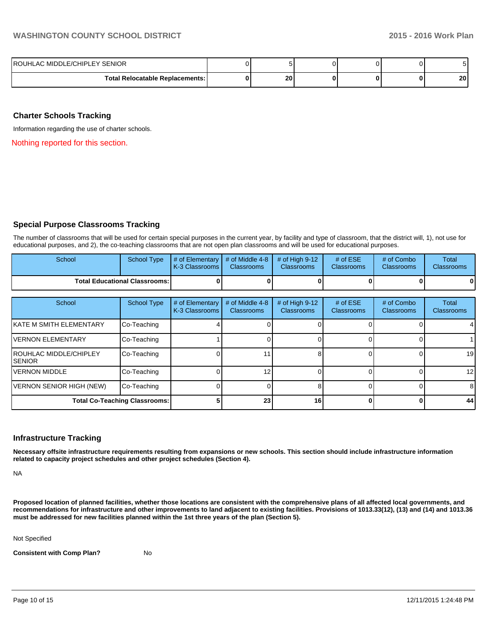| ROUHLAC MIDDLE/CHIPLEY SENIOR   |    |  |                 |
|---------------------------------|----|--|-----------------|
| Total Relocatable Replacements: | 20 |  | 20 <sub>1</sub> |

## **Charter Schools Tracking**

Information regarding the use of charter schools.

Nothing reported for this section.

## **Special Purpose Classrooms Tracking**

The number of classrooms that will be used for certain special purposes in the current year, by facility and type of classroom, that the district will, 1), not use for educational purposes, and 2), the co-teaching classrooms that are not open plan classrooms and will be used for educational purposes.

| School                                 | <b>School Type</b> | $\vert$ # of Elementary $\vert$ # of Middle 4-8 $\vert$<br><b>I</b> K-3 Classrooms I | <b>Classrooms</b> | # of Hiah 9-12<br><b>Classrooms</b> | # of $ESE$<br><b>Classrooms</b> | # of Combo<br><b>Classrooms</b> | Total<br><b>Classrooms</b> |
|----------------------------------------|--------------------|--------------------------------------------------------------------------------------|-------------------|-------------------------------------|---------------------------------|---------------------------------|----------------------------|
| <b>Total Educational Classrooms: I</b> |                    |                                                                                      |                   |                                     | 0                               |                                 |                            |
|                                        |                    |                                                                                      |                   |                                     |                                 |                                 |                            |

| School                                    | <b>School Type</b>                   | # of Elementary<br>K-3 Classrooms | # of Middle 4-8<br><b>Classrooms</b> | # of High $9-12$<br><b>Classrooms</b> | # of $ESE$<br><b>Classrooms</b> | # of Combo<br><b>Classrooms</b> | Total<br>Classrooms |
|-------------------------------------------|--------------------------------------|-----------------------------------|--------------------------------------|---------------------------------------|---------------------------------|---------------------------------|---------------------|
| <b>IKATE M SMITH ELEMENTARY</b>           | Co-Teaching                          |                                   |                                      |                                       |                                 |                                 |                     |
| IVERNON ELEMENTARY                        | Co-Teaching                          |                                   |                                      |                                       |                                 |                                 |                     |
| <b>IROUHLAC MIDDLE/CHIPLEY</b><br>ISENIOR | Co-Teaching                          |                                   |                                      |                                       |                                 |                                 | 19                  |
| IVERNON MIDDLE                            | Co-Teaching                          |                                   | 12                                   |                                       |                                 |                                 | 12                  |
| VERNON SENIOR HIGH (NEW)                  | Co-Teaching                          |                                   |                                      |                                       |                                 |                                 | 8                   |
|                                           | <b>Total Co-Teaching Classrooms:</b> |                                   | 23 <sub>1</sub>                      | 16                                    |                                 |                                 | 44                  |

#### **Infrastructure Tracking**

**Necessary offsite infrastructure requirements resulting from expansions or new schools. This section should include infrastructure information related to capacity project schedules and other project schedules (Section 4).**

NA

**Proposed location of planned facilities, whether those locations are consistent with the comprehensive plans of all affected local governments, and recommendations for infrastructure and other improvements to land adjacent to existing facilities. Provisions of 1013.33(12), (13) and (14) and 1013.36 must be addressed for new facilities planned within the 1st three years of the plan (Section 5).**

Not Specified

**Consistent with Comp Plan?** No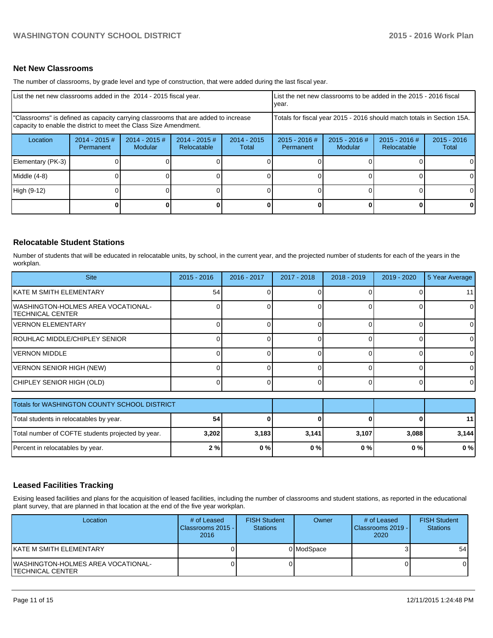## **Net New Classrooms**

The number of classrooms, by grade level and type of construction, that were added during the last fiscal year.

| List the net new classrooms added in the 2014 - 2015 fiscal year. | List the net new classrooms to be added in the 2015 - 2016 fiscal<br>Ivear. |                            |                                                                                                                                                                                                                                   |                        |                              |                            |                              |                        |
|-------------------------------------------------------------------|-----------------------------------------------------------------------------|----------------------------|-----------------------------------------------------------------------------------------------------------------------------------------------------------------------------------------------------------------------------------|------------------------|------------------------------|----------------------------|------------------------------|------------------------|
|                                                                   |                                                                             |                            | "Classrooms" is defined as capacity carrying classrooms that are added to increase<br>Totals for fiscal year 2015 - 2016 should match totals in Section 15A.<br>capacity to enable the district to meet the Class Size Amendment. |                        |                              |                            |                              |                        |
| Location                                                          | $2014 - 2015 \#$<br>Permanent                                               | $2014 - 2015$ #<br>Modular | $2014 - 2015$ #<br>Relocatable                                                                                                                                                                                                    | $2014 - 2015$<br>Total | $2015 - 2016$ #<br>Permanent | $2015 - 2016$ #<br>Modular | 2015 - 2016 #<br>Relocatable | $2015 - 2016$<br>Total |
| Elementary (PK-3)                                                 |                                                                             |                            |                                                                                                                                                                                                                                   |                        |                              |                            |                              | 0                      |
| Middle (4-8)                                                      |                                                                             |                            |                                                                                                                                                                                                                                   |                        |                              |                            |                              | $\Omega$               |
| High (9-12)                                                       |                                                                             |                            |                                                                                                                                                                                                                                   |                        |                              |                            |                              | $\Omega$               |
|                                                                   |                                                                             |                            |                                                                                                                                                                                                                                   |                        |                              |                            |                              | 0                      |

## **Relocatable Student Stations**

Number of students that will be educated in relocatable units, by school, in the current year, and the projected number of students for each of the years in the workplan.

| <b>Site</b>                                                     | $2015 - 2016$ | 2016 - 2017 | 2017 - 2018 | $2018 - 2019$ | $2019 - 2020$ | 5 Year Average |
|-----------------------------------------------------------------|---------------|-------------|-------------|---------------|---------------|----------------|
| IKATE M SMITH ELEMENTARY                                        | 54            |             |             |               |               | 11             |
| <b>IWASHINGTON-HOLMES AREA VOCATIONAL-</b><br>ITECHNICAL CENTER |               |             |             |               |               | $\overline{0}$ |
| IVERNON ELEMENTARY                                              |               |             |             |               |               |                |
| ROUHLAC MIDDLE/CHIPLEY SENIOR                                   |               |             |             |               |               |                |
| IVERNON MIDDLE                                                  |               |             |             |               |               |                |
| VERNON SENIOR HIGH (NEW)                                        |               |             |             |               |               | OΙ             |
| CHIPLEY SENIOR HIGH (OLD)                                       |               |             |             |               |               |                |

| Totals for WASHINGTON COUNTY SCHOOL DISTRICT      |       |       |       |       |       |       |
|---------------------------------------------------|-------|-------|-------|-------|-------|-------|
| Total students in relocatables by year.           | 54    |       |       |       |       | 11    |
| Total number of COFTE students projected by year. | 3,202 | 3.183 | 3,141 | 3.107 | 3,088 | 3.144 |
| Percent in relocatables by year.                  | 2%    | $0\%$ | 0%    | 0%    | 0%    | $0\%$ |

## **Leased Facilities Tracking**

Exising leased facilities and plans for the acquisition of leased facilities, including the number of classrooms and student stations, as reported in the educational plant survey, that are planned in that location at the end of the five year workplan.

| Location                                                       | # of Leased<br>Classrooms 2015 -<br>2016 | <b>FISH Student</b><br><b>Stations</b> | Owner      | # of Leased<br><b>I</b> Classrooms 2019 - I<br>2020 | <b>FISH Student</b><br><b>Stations</b> |
|----------------------------------------------------------------|------------------------------------------|----------------------------------------|------------|-----------------------------------------------------|----------------------------------------|
| IKATE M SMITH ELEMENTARY                                       |                                          |                                        | 0 ModSpace |                                                     | 54                                     |
| IWASHINGTON-HOLMES AREA VOCATIONAL-<br><b>TECHNICAL CENTER</b> |                                          |                                        |            |                                                     |                                        |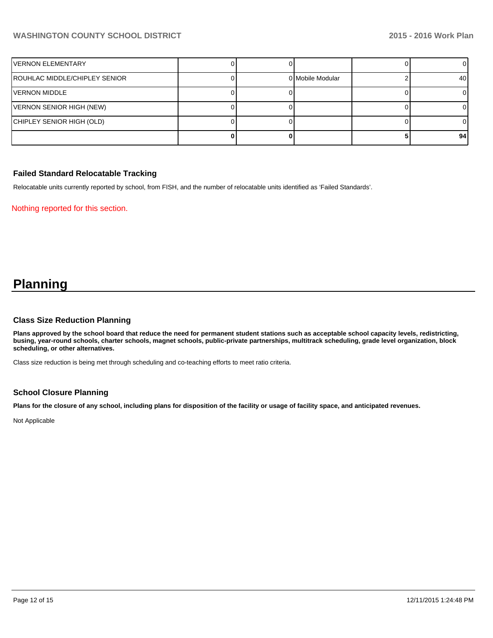| IVERNON ELEMENTARY            |  |                  |    |
|-------------------------------|--|------------------|----|
| ROUHLAC MIDDLE/CHIPLEY SENIOR |  | 0 Mobile Modular | 40 |
| IVERNON MIDDLE                |  |                  |    |
| VERNON SENIOR HIGH (NEW)      |  |                  |    |
| CHIPLEY SENIOR HIGH (OLD)     |  |                  |    |
|                               |  |                  | 94 |

## **Failed Standard Relocatable Tracking**

Relocatable units currently reported by school, from FISH, and the number of relocatable units identified as 'Failed Standards'.

Nothing reported for this section.

## **Planning**

#### **Class Size Reduction Planning**

**Plans approved by the school board that reduce the need for permanent student stations such as acceptable school capacity levels, redistricting, busing, year-round schools, charter schools, magnet schools, public-private partnerships, multitrack scheduling, grade level organization, block scheduling, or other alternatives.**

Class size reduction is being met through scheduling and co-teaching efforts to meet ratio criteria.

## **School Closure Planning**

**Plans for the closure of any school, including plans for disposition of the facility or usage of facility space, and anticipated revenues.**

Not Applicable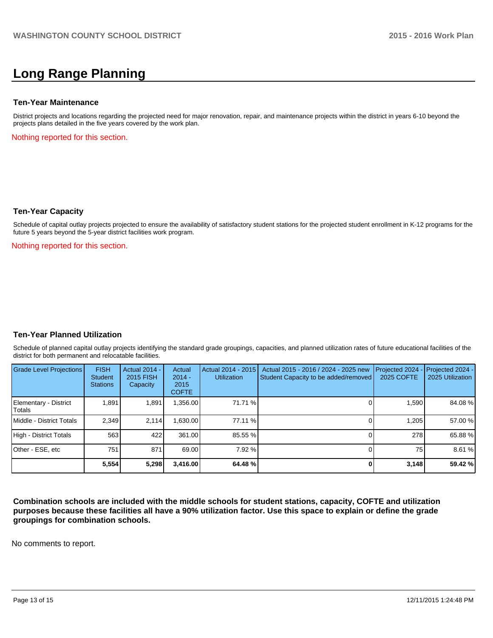## **Long Range Planning**

#### **Ten-Year Maintenance**

District projects and locations regarding the projected need for major renovation, repair, and maintenance projects within the district in years 6-10 beyond the projects plans detailed in the five years covered by the work plan.

Nothing reported for this section.

#### **Ten-Year Capacity**

Schedule of capital outlay projects projected to ensure the availability of satisfactory student stations for the projected student enrollment in K-12 programs for the future 5 years beyond the 5-year district facilities work program.

Nothing reported for this section.

## **Ten-Year Planned Utilization**

Schedule of planned capital outlay projects identifying the standard grade groupings, capacities, and planned utilization rates of future educational facilities of the district for both permanent and relocatable facilities.

| Grade Level Projections         | <b>FISH</b><br><b>Student</b><br><b>Stations</b> | <b>Actual 2014 -</b><br><b>2015 FISH</b><br>Capacity | Actual<br>$2014 -$<br>2015<br><b>COFTE</b> | Actual 2014 - 2015<br><b>Utilization</b> | Actual 2015 - 2016 / 2024 - 2025 new<br>Student Capacity to be added/removed | Projected 2024<br>2025 COFTE | $-$ Projected 2024 -<br>2025 Utilization |
|---------------------------------|--------------------------------------------------|------------------------------------------------------|--------------------------------------------|------------------------------------------|------------------------------------------------------------------------------|------------------------------|------------------------------------------|
| Elementary - District<br>Totals | 1,891                                            | 1,891                                                | ,356.00                                    | 71.71 %                                  |                                                                              | 1,590                        | 84.08%                                   |
| Middle - District Totals        | 2.349                                            | 2.114                                                | .630.00                                    | 77.11 %                                  |                                                                              | 1.205                        | 57.00 %                                  |
| High - District Totals          | 563                                              | 422                                                  | 361.00                                     | 85.55 %                                  |                                                                              | 278                          | 65.88%                                   |
| Other - ESE, etc                | 751                                              | 871                                                  | 69.00                                      | 7.92%                                    |                                                                              | 75                           | 8.61 %                                   |
|                                 | 5.554                                            | 5,298                                                | 3,416.00                                   | 64.48 %                                  |                                                                              | 3,148                        | 59.42 %                                  |

**Combination schools are included with the middle schools for student stations, capacity, COFTE and utilization purposes because these facilities all have a 90% utilization factor. Use this space to explain or define the grade groupings for combination schools.**

No comments to report.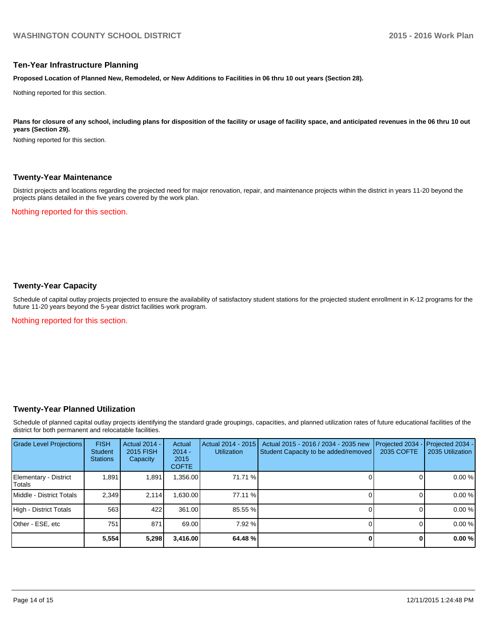#### **Ten-Year Infrastructure Planning**

**Proposed Location of Planned New, Remodeled, or New Additions to Facilities in 06 thru 10 out years (Section 28).**

Nothing reported for this section.

Plans for closure of any school, including plans for disposition of the facility or usage of facility space, and anticipated revenues in the 06 thru 10 out **years (Section 29).**

Nothing reported for this section.

#### **Twenty-Year Maintenance**

District projects and locations regarding the projected need for major renovation, repair, and maintenance projects within the district in years 11-20 beyond the projects plans detailed in the five years covered by the work plan.

Nothing reported for this section.

## **Twenty-Year Capacity**

Schedule of capital outlay projects projected to ensure the availability of satisfactory student stations for the projected student enrollment in K-12 programs for the future 11-20 years beyond the 5-year district facilities work program.

Nothing reported for this section.

## **Twenty-Year Planned Utilization**

Schedule of planned capital outlay projects identifying the standard grade groupings, capacities, and planned utilization rates of future educational facilities of the district for both permanent and relocatable facilities.

| <b>Grade Level Projections</b>   | <b>FISH</b><br><b>Student</b><br><b>Stations</b> | <b>Actual 2014 -</b><br>2015 FISH<br>Capacity | Actual<br>$2014 -$<br>2015<br><b>COFTE</b> | Actual 2014 - 2015<br>Utilization | Actual 2015 - 2016 / 2034 - 2035 new<br>Student Capacity to be added/removed | Projected 2034<br>2035 COFTE | Projected 2034 -<br>2035 Utilization |
|----------------------------------|--------------------------------------------------|-----------------------------------------------|--------------------------------------------|-----------------------------------|------------------------------------------------------------------------------|------------------------------|--------------------------------------|
| Elementary - District<br> Totals | 1,891                                            | 1,891                                         | ,356.00                                    | 71.71 %                           |                                                                              |                              | 0.00%                                |
| Middle - District Totals         | 2.349                                            | 2.114                                         | 630.00                                     | 77.11 %                           |                                                                              |                              | 0.00%                                |
| High - District Totals           | 563                                              | 422                                           | 361.00                                     | 85.55 %                           |                                                                              |                              | 0.00%                                |
| Other - ESE, etc                 | 751                                              | 871                                           | 69.00                                      | 7.92%                             |                                                                              |                              | 0.00%                                |
|                                  | 5,554                                            | 5,298                                         | 3,416.00                                   | 64.48 %                           |                                                                              |                              | 0.00%                                |